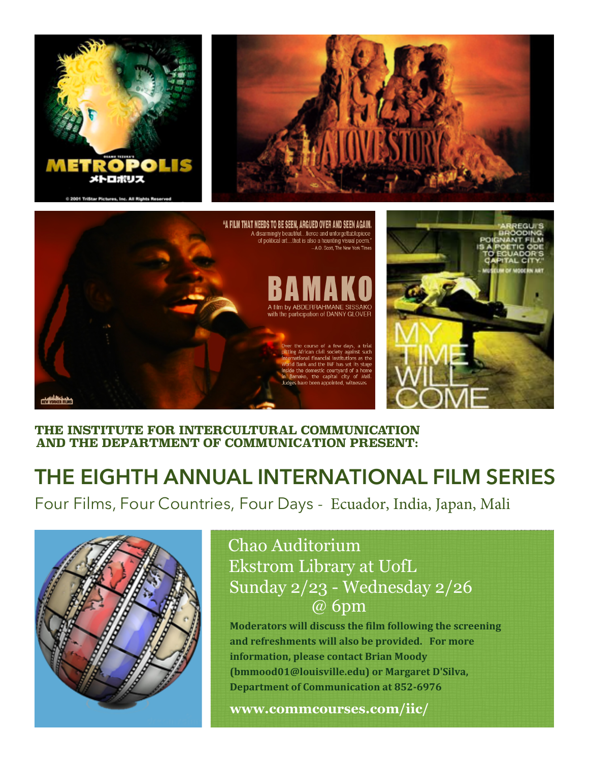



### **THE INSTITUTE FOR INTERCULTURAL COMMUNICATION AND THE DEPARTMENT OF COMMUNICATION PRESENT:**

# **THE EIGHTH ANNUAL INTERNATIONAL FILM SERIES**

Four Films, Four Countries, Four Days - Ecuador, India, Japan, Mali



## Chao Auditorium Ekstrom Library at UofL Sunday 2/23 - Wednesday 2/26 @ 6pm

**Moderators will discuss the film following the screening and refreshments will also be provided. For more information, please contact Brian Moody (bmmood01@louisville.edu) or Margaret D'Silva, Department of Communication at 852-6976** 

**www.commcourses.com/iic/**